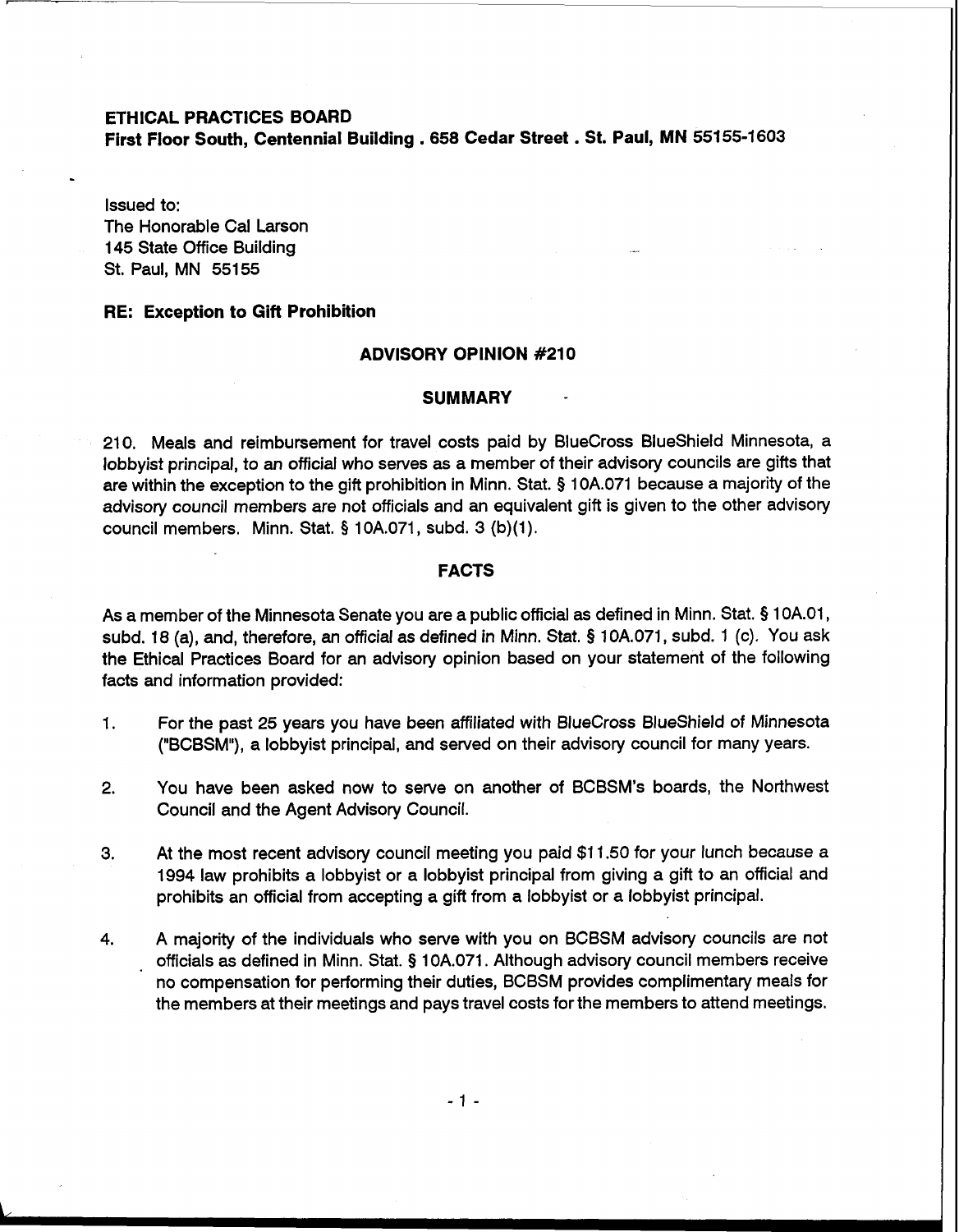### **ETHICAL PRACTICES BOARD**

**First Floor South, Centennial Building** . 658 **Cedar Street** . **St. Paul, MN 55155-1603** 

Issued to: The Honorable Cal Larson 145 State Office Building St. Paul, MN 55155

#### **RE: Exception to Gift Prohibition**

# **ADVISORY OPINION #210**

## **SUMMARY**

210. Meals and reimbursement for travel costs paid by BlueCross BlueShield Minnesota, a lobbyist principal, to an official who serves as a member of their advisory councils are gifts that are within the exception to the gift prohibition in Minn. Stat. **5** 10A.071 because a majority of the advisory council members are not officials and an equivalent gift is given to the other advisory council members. Minn. Stat. § 10A.071, subd. 3 (b)(1).

# **FACTS**

As a member of the Minnesota Senate you are a public official as defined in Minn. Stat. § 1 OA.01, subd. 18 (a), and, therefore, an official as defined in Minn. Stat. § 10A.071, subd. 1 (c). You ask the Ethical Practices Board for an advisory opinion based on your statement of the following facts and information provided:

- 1. For the past 25 years you have been affiliated with BlueCross BlueShield of Minnesota ("BCBSM"), a lobbyist principal, and served on their advisory council for many years.
- 2. You have been asked now to serve on another of BCBSM's boards, the Northwest Council and the Agent Advisory Council.
- **3.** At the most recent advisory council meeting you paid \$1 1.50 for your lunch because a 1994 law prohibits a lobbyist or a lobbyist principal from giving a gift to an official and prohibits an official from accepting a gift from a lobbyist or a lobbyist principal.
- **4.** A majority of the individuals who serve with you on BCBSM advisory councils are not officials as defined in Minn. Stat. **5** 10A.071. Although advisory council members receive no compensation for performing their duties, BCBSM provides complimentary meals for the members at their meetings and pays travel costs for the members to attend meetings.

 $-1 -$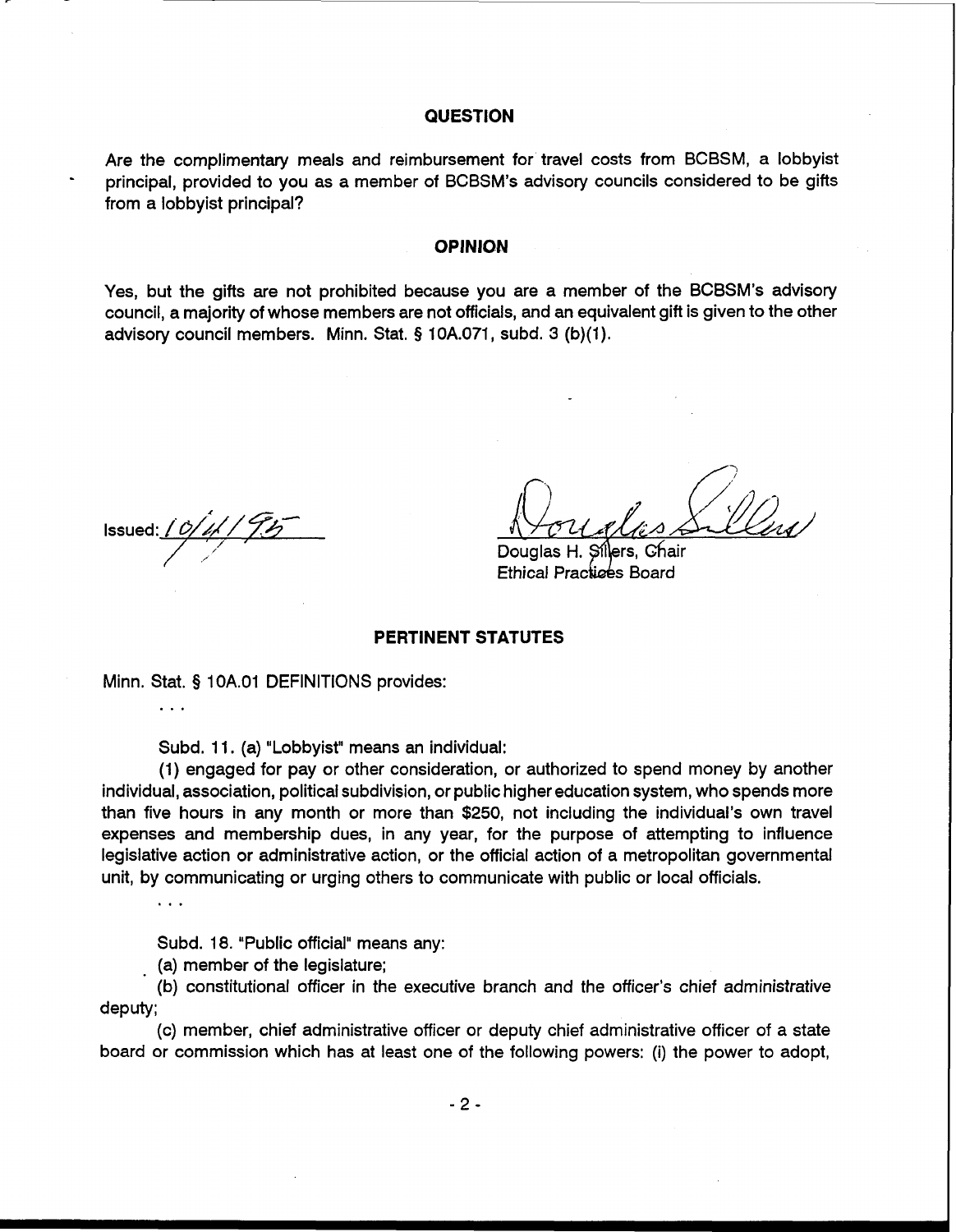## **QUESTION**

Are the complimentary meals and reimbursement for travel costs from BCBSM, a lobbyist principal, provided to you as a member of BCBSM's advisory councils considered to be gifts from a lobbyist principal?

### **OPINION**

Yes, but the gifts are not prohibited because you are a member of the BCBSM's advisory council, a majority of whose members are not officials, and an equivalent gift is given to the other advisory council members. Minn. Stat. **5** 10A.071, subd. 3 (b)(l).

lssued: *1 0 | 1 | 9 5* 

Douglas H. Sillers, Chair Ethical Practices Board

#### **PERTINENT STATUTES**

Minn. Stat. **5** 1 OA.O1 DEFINITIONS provides:

Subd. 11. (a) "Lobbyist" means an individual:

(1) engaged for pay or other consideration, or authorized to spend money by another individual, association, political subdivision, or public higher education system, who spends more than five hours in any month or more than \$250, not including the individual's own travel expenses and membership dues, in any year, for the purpose of attempting to influence legislative action or administrative action, or the official action of a metropolitan governmental unit, by communicating or urging others to communicate with public or local officials.

 $\ddotsc$ 

. . .

Subd. 18. "Public official" means any:

(a) member of the legislature;

(b) constitutional officer in the executive branch and the officer's chief administrative deputy;

(c) member, chief administrative officer or deputy chief administrative officer of a state board or commission which has at least one of the following powers: (i) the power to adopt,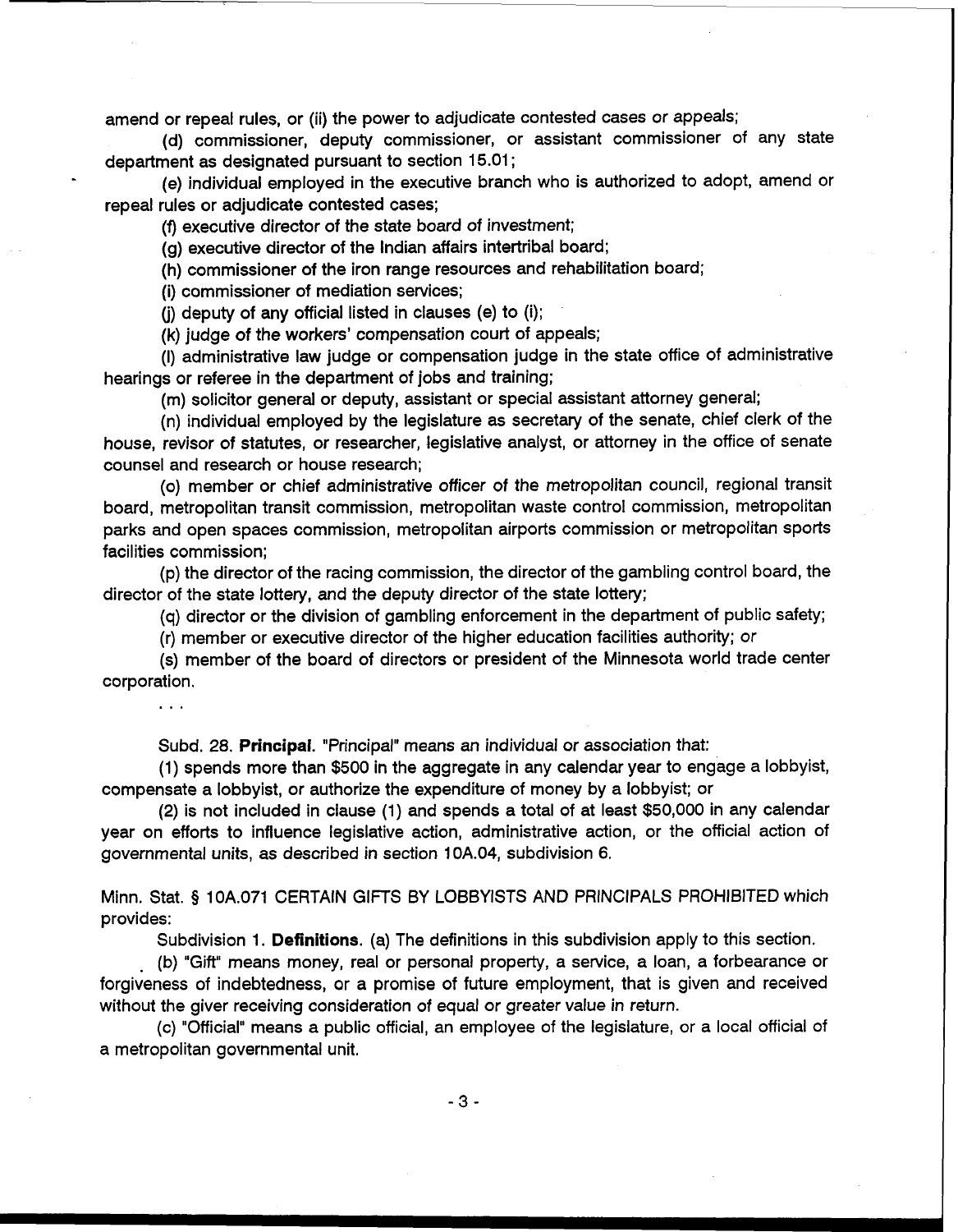amend or repeal rules, or (ii) the power to adjudicate contested cases or appeals;

(d) commissioner, deputy commissioner, or assistant commissioner of any state department as designated pursuant to section 15.01 ;

(e) individual employed in the executive branch who is authorized to adopt, amend or repeal rules or adjudicate contested cases;

(f) executive director of the state board of investment;

(g) executive director of the Indian affairs intertribal board;

(h) commissioner of the iron range resources and rehabilitation board;

(i) commissioner of mediation services;

(i) deputy of any official listed in clauses (e) to  $(i)$ ;

(k) judge of the workers' compensation court of appeals;

(I) administrative law judge or compensation judge in the state office of administrative hearings or referee in the department of jobs and training;

(m) solicitor general or deputy, assistant or special assistant attorney general;

(n) individual employed by the legislature as secretary of the senate, chief clerk of the house, revisor of statutes, or researcher, legislative analyst, or attorney in the office of senate counsel and research or house research;

(0) member or chief administrative officer of the metropolitan council, regional transit board, metropolitan transit commission, metropolitan waste control commission, metropolitan parks and open spaces commission, metropolitan airports commission or metropolitan sports facilities commission;

(p) the director of the racing commission, the director of the gambling control board, the director of the state lottery, and the deputy director of the state lottery;

(q) director or the division of gambling enforcement in the department of public safety;

(r) member or executive director of the higher education facilities authority; or

(s) member of the board of directors or president of the Minnesota world trade center corporation.

. . .

Subd. 28. Principal. "Principal" means an individual or association that:

(1) spends more than \$500 in the aggregate in any calendar year to engage a lobbyist, compensate a lobbyist, or authorize the expenditure of money by a lobbyist; or

(2) is not included in clause (1) and spends a total of at least \$50,000 in any calendar year on efforts to influence legislative action, administrative action, or the official action of governmental units, as described in section 10A.04, subdivision 6.

Minn. Stat. § 10A.071 CERTAIN GIFTS BY LOBBYISTS AND PRINCIPALS PROHIBITED which provides:

Subdivision 1. Definitions. (a) The definitions in this subdivision apply to this section.

(b) "Gift" means money, real or personal property, a service, a loan, a forbearance or forgiveness of indebtedness, or a promise of future employment, that is given and received without the giver receiving consideration of equal or greater value in return.

(c) "Official" means a public official, an employee of the legislature, or a local official of a metropolitan governmental unit.